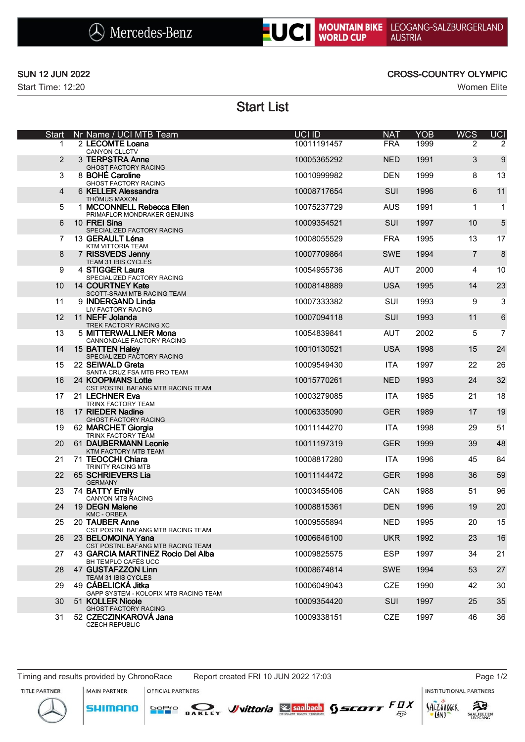



Start Time: 12:20 Women Elite

## SUN 12 JUN 2022 CROSS-COUNTRY OLYMPIC

# Start List

| Start | 1<br>2 | Nr Name / UCI MTB Team<br>2 LECOMTE Loana                   | <b>UCI ID</b> | <b>NAT</b> | <b>YOB</b> | <b>WCS</b>     | UCI            |
|-------|--------|-------------------------------------------------------------|---------------|------------|------------|----------------|----------------|
|       |        |                                                             |               |            |            |                |                |
|       |        | <b>CANYON CLLCTV</b>                                        | 10011191457   | <b>FRA</b> | 1999       | 2              | 2              |
|       |        | 3 TERPSTRA Anne<br><b>GHOST FACTORY RACING</b>              | 10005365292   | <b>NED</b> | 1991       | 3              | 9              |
|       | 3      | 8 BOHÉ Caroline<br><b>GHOST FACTORY RACING</b>              | 10010999982   | <b>DEN</b> | 1999       | 8              | 13             |
|       | 4      | 6 KELLER Alessandra<br>THÖMUS MAXON                         | 10008717654   | <b>SUI</b> | 1996       | 6              | 11             |
|       | 5      | 1 MCCONNELL Rebecca Ellen<br>PRIMAFLOR MONDRAKER GENUINS    | 10075237729   | <b>AUS</b> | 1991       | 1              | $\mathbf{1}$   |
|       | 6      | 10 FREI Sina<br>SPECIALIZED FACTORY RACING                  | 10009354521   | SUI        | 1997       | 10             | 5              |
|       | 7      | 13 GERAULT Léna<br>KTM VITTORIA TEAM                        | 10008055529   | <b>FRA</b> | 1995       | 13             | 17             |
|       | 8      | 7 RISSVEDS Jenny<br>TEAM 31 IBIS CYCLES                     | 10007709864   | <b>SWE</b> | 1994       | $\overline{7}$ | $\bf 8$        |
|       | 9      | 4 STIGGER Laura<br>SPECIALIZED FACTORY RACING               | 10054955736   | <b>AUT</b> | 2000       | 4              | 10             |
|       | 10     | 14 COURTNEY Kate<br>SCOTT-SRAM MTB RACING TEAM              | 10008148889   | <b>USA</b> | 1995       | 14             | 23             |
|       | 11     | 9 INDERGAND Linda<br>LIV FACTORY RACING                     | 10007333382   | SUI        | 1993       | 9              | 3              |
|       | 12     | 11 NEFF Jolanda<br>TREK FACTORY RACING XC                   | 10007094118   | SUI        | 1993       | 11             | 6              |
|       | 13     | 5 MITTERWALLNER Mona<br>CANNONDALE FACTORY RACING           | 10054839841   | <b>AUT</b> | 2002       | 5              | $\overline{7}$ |
|       | 14     | 15 BATTEN Haley<br>SPECIALIZED FACTORY RACING               | 10010130521   | <b>USA</b> | 1998       | 15             | 24             |
|       | 15     | 22 SEIWALD Greta<br>SANTA CRUZ FSA MTB PRO TEAM             | 10009549430   | <b>ITA</b> | 1997       | 22             | 26             |
|       | 16     | 24 KOOPMANS Lotte<br>CST POSTNL BAFANG MTB RACING TEAM      | 10015770261   | <b>NED</b> | 1993       | 24             | 32             |
|       | 17     | 21 LECHNER Eva<br>TRINX FACTORY TEAM                        | 10003279085   | <b>ITA</b> | 1985       | 21             | 18             |
|       | 18     | 17 RIEDER Nadine<br><b>GHOST FACTORY RACING</b>             | 10006335090   | <b>GER</b> | 1989       | 17             | 19             |
|       | 19     | 62 MARCHET Giorgia<br>TRINX FACTORY TEAM                    | 10011144270   | <b>ITA</b> | 1998       | 29             | 51             |
|       | 20     | 61 DAUBERMANN Leonie<br>KTM FACTORY MTB TEAM                | 10011197319   | <b>GER</b> | 1999       | 39             | 48             |
|       | 21     | 71 TEOCCHI Chiara<br>TRINITY RACING MTB                     | 10008817280   | <b>ITA</b> | 1996       | 45             | 84             |
|       | 22     | 65 SCHRIEVERS Lia<br><b>GERMANY</b>                         | 10011144472   | <b>GER</b> | 1998       | 36             | 59             |
|       | 23     | 74 BATTY Emily<br>CANYON MTB RACING                         | 10003455406   | <b>CAN</b> | 1988       | 51             | 96             |
|       | 24     | 19 DEGN Malene<br><b>KMC - ORBEA</b>                        | 10008815361   | <b>DEN</b> | 1996       | 19             | 20             |
|       |        | 25 20 TAUBER Anne<br>CST POSTNL BAFANG MTB RACING TEAM      | 10009555894   | <b>NED</b> | 1995       | 20             | 15             |
|       | 26     | 23 BELOMOINA Yana<br>CST POSTNL BAFANG MTB RACING TEAM      | 10006646100   | <b>UKR</b> | 1992       | 23             | 16             |
|       | 27     | 43 GARCIA MARTINEZ Rocio Del Alba<br>BH TEMPLO CAFÉS UCC    | 10009825575   | <b>ESP</b> | 1997       | 34             | 21             |
|       | 28     | 47 GUSTAFZZON Linn<br>TEAM 31 IBIS CYCLES                   | 10008674814   | <b>SWE</b> | 1994       | 53             | 27             |
|       | 29     | 49 CÁBELICKÁ Jitka<br>GAPP SYSTEM - KOLOFIX MTB RACING TEAM | 10006049043   | <b>CZE</b> | 1990       | 42             | 30             |
|       | 30     | 51 KOLLER Nicole<br><b>GHOST FACTORY RACING</b>             | 10009354420   | <b>SUI</b> | 1997       | 25             | 35             |
|       | 31     | 52 CZECZINKAROVA Jana<br><b>CZECH REPUBLIC</b>              | 10009338151   | <b>CZE</b> | 1997       | 46             | 36             |

MAIN PARTNER

**SHIMANO** 

OFFICIAL PARTNERS

**INSTITUTIONAL PARTNERS**